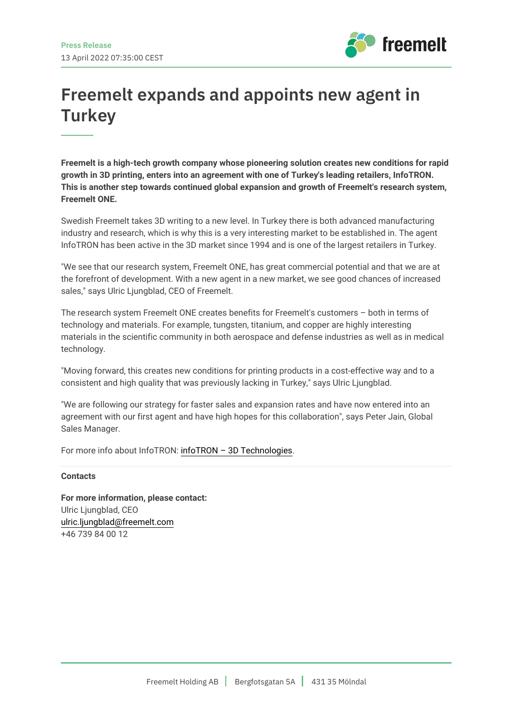

## **Freemelt expands and appoints new agent in Turkey**

**Freemelt is a high-tech growth company whose pioneering solution creates new conditions for rapid growth in 3D printing, enters into an agreement with one of Turkey's leading retailers, InfoTRON. This is another step towards continued global expansion and growth of Freemelt's research system, Freemelt ONE.**

Swedish Freemelt takes 3D writing to a new level. In Turkey there is both advanced manufacturing industry and research, which is why this is a very interesting market to be established in. The agent InfoTRON has been active in the 3D market since 1994 and is one of the largest retailers in Turkey.

"We see that our research system, Freemelt ONE, has great commercial potential and that we are at the forefront of development. With a new agent in a new market, we see good chances of increased sales," says Ulric Ljungblad, CEO of Freemelt.

The research system Freemelt ONE creates benefits for Freemelt's customers – both in terms of technology and materials. For example, tungsten, titanium, and copper are highly interesting materials in the scientific community in both aerospace and defense industries as well as in medical technology.

"Moving forward, this creates new conditions for printing products in a cost-effective way and to a consistent and high quality that was previously lacking in Turkey," says Ulric Ljungblad.

"We are following our strategy for faster sales and expansion rates and have now entered into an agreement with our first agent and have high hopes for this collaboration", says Peter Jain, Global Sales Manager.

For more info about InfoTRON: [infoTRON – 3D Technologies](https://infotron.com.tr/en/).

## **Contacts**

**For more information, please contact:** Ulric Ljungblad, CEO [ulric.ljungblad@freemelt.com](mailto:ulric.ljungblad@freemelt.com) +46 739 84 00 12